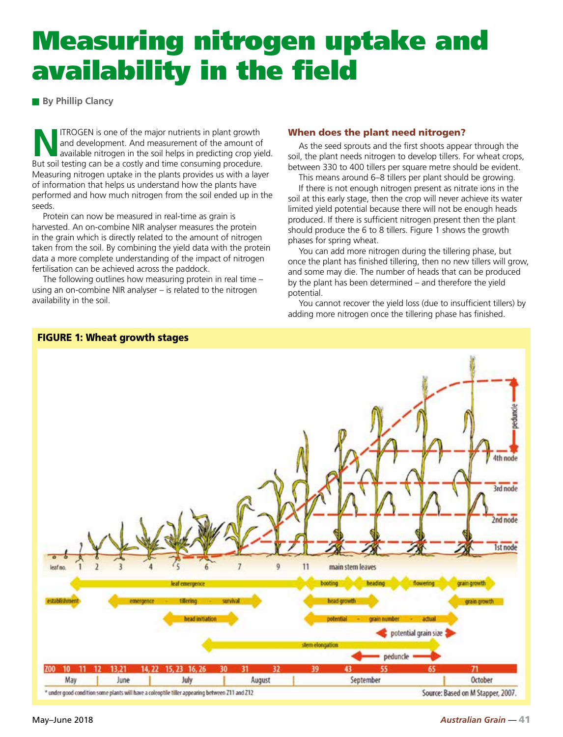# Measuring nitrogen uptake and availability in the field

**By Phillip Clancy** 

**NITROGEN** is one of the major nutrients in plant growth<br>and development. And measurement of the amount of<br>available nitrogen in the soil helps in predicting crop yie<br>Rut coil toting can be a costly and time consuming proc and development. And measurement of the amount of available nitrogen in the soil helps in predicting crop yield. But soil testing can be a costly and time consuming procedure. Measuring nitrogen uptake in the plants provides us with a layer of information that helps us understand how the plants have performed and how much nitrogen from the soil ended up in the seeds.

Protein can now be measured in real-time as grain is harvested. An on-combine NIR analyser measures the protein in the grain which is directly related to the amount of nitrogen taken from the soil. By combining the yield data with the protein data a more complete understanding of the impact of nitrogen fertilisation can be achieved across the paddock.

The following outlines how measuring protein in real time – using an on-combine NIR analyser – is related to the nitrogen availability in the soil.

# When does the plant need nitrogen?

As the seed sprouts and the first shoots appear through the soil, the plant needs nitrogen to develop tillers. For wheat crops, between 330 to 400 tillers per square metre should be evident.

This means around 6–8 tillers per plant should be growing.

If there is not enough nitrogen present as nitrate ions in the soil at this early stage, then the crop will never achieve its water limited yield potential because there will not be enough heads produced. If there is sufficient nitrogen present then the plant should produce the 6 to 8 tillers. Figure 1 shows the growth phases for spring wheat.

You can add more nitrogen during the tillering phase, but once the plant has finished tillering, then no new tillers will grow, and some may die. The number of heads that can be produced by the plant has been determined – and therefore the yield potential.

You cannot recover the yield loss (due to insufficient tillers) by adding more nitrogen once the tillering phase has finished.



# FIGURE 1: Wheat growth stages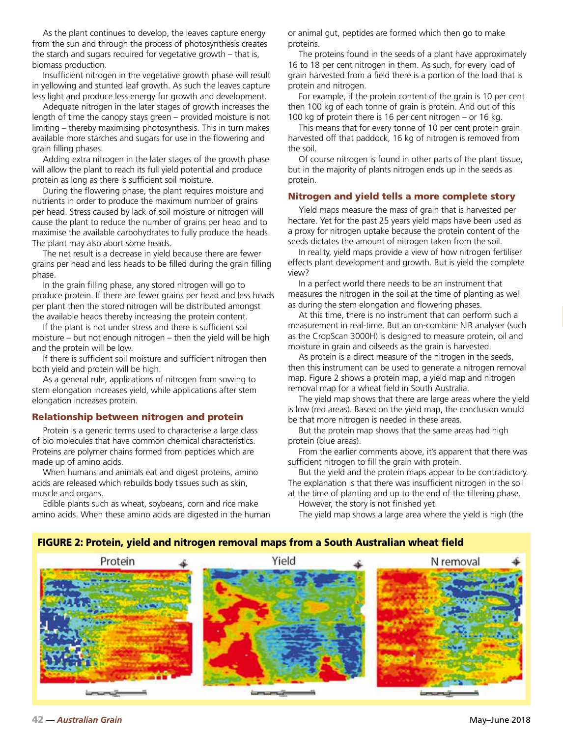As the plant continues to develop, the leaves capture energy from the sun and through the process of photosynthesis creates the starch and sugars required for vegetative growth – that is, biomass production.

Insufficient nitrogen in the vegetative growth phase will result in yellowing and stunted leaf growth. As such the leaves capture less light and produce less energy for growth and development.

Adequate nitrogen in the later stages of growth increases the length of time the canopy stays green – provided moisture is not limiting – thereby maximising photosynthesis. This in turn makes available more starches and sugars for use in the flowering and grain filling phases.

Adding extra nitrogen in the later stages of the growth phase will allow the plant to reach its full yield potential and produce protein as long as there is sufficient soil moisture.

During the flowering phase, the plant requires moisture and nutrients in order to produce the maximum number of grains per head. Stress caused by lack of soil moisture or nitrogen will cause the plant to reduce the number of grains per head and to maximise the available carbohydrates to fully produce the heads. The plant may also abort some heads.

The net result is a decrease in yield because there are fewer grains per head and less heads to be filled during the grain filling phase.

In the grain filling phase, any stored nitrogen will go to produce protein. If there are fewer grains per head and less heads per plant then the stored nitrogen will be distributed amongst the available heads thereby increasing the protein content.

If the plant is not under stress and there is sufficient soil moisture – but not enough nitrogen – then the yield will be high and the protein will be low.

If there is sufficient soil moisture and sufficient nitrogen then both yield and protein will be high.

As a general rule, applications of nitrogen from sowing to stem elongation increases yield, while applications after stem elongation increases protein.

#### Relationship between nitrogen and protein

Protein is a generic terms used to characterise a large class of bio molecules that have common chemical characteristics. Proteins are polymer chains formed from peptides which are made up of amino acids.

When humans and animals eat and digest proteins, amino acids are released which rebuilds body tissues such as skin, muscle and organs.

Edible plants such as wheat, soybeans, corn and rice make amino acids. When these amino acids are digested in the human or animal gut, peptides are formed which then go to make proteins.

The proteins found in the seeds of a plant have approximately 16 to 18 per cent nitrogen in them. As such, for every load of grain harvested from a field there is a portion of the load that is protein and nitrogen.

For example, if the protein content of the grain is 10 per cent then 100 kg of each tonne of grain is protein. And out of this 100 kg of protein there is 16 per cent nitrogen – or 16 kg.

This means that for every tonne of 10 per cent protein grain harvested off that paddock, 16 kg of nitrogen is removed from the soil.

Of course nitrogen is found in other parts of the plant tissue, but in the majority of plants nitrogen ends up in the seeds as protein.

#### Nitrogen and yield tells a more complete story

Yield maps measure the mass of grain that is harvested per hectare. Yet for the past 25 years yield maps have been used as a proxy for nitrogen uptake because the protein content of the seeds dictates the amount of nitrogen taken from the soil.

In reality, yield maps provide a view of how nitrogen fertiliser effects plant development and growth. But is yield the complete view?

In a perfect world there needs to be an instrument that measures the nitrogen in the soil at the time of planting as well as during the stem elongation and flowering phases.

At this time, there is no instrument that can perform such a measurement in real-time. But an on-combine NIR analyser (such as the CropScan 3000H) is designed to measure protein, oil and moisture in grain and oilseeds as the grain is harvested.

As protein is a direct measure of the nitrogen in the seeds, then this instrument can be used to generate a nitrogen removal map. Figure 2 shows a protein map, a yield map and nitrogen removal map for a wheat field in South Australia.

The yield map shows that there are large areas where the yield is low (red areas). Based on the yield map, the conclusion would be that more nitrogen is needed in these areas.

But the protein map shows that the same areas had high protein (blue areas).

From the earlier comments above, it's apparent that there was sufficient nitrogen to fill the grain with protein.

But the yield and the protein maps appear to be contradictory. The explanation is that there was insufficient nitrogen in the soil at the time of planting and up to the end of the tillering phase.

However, the story is not finished yet.

The yield map shows a large area where the yield is high (the

#### FIGURE 2: Protein, yield and nitrogen removal maps from a South Australian wheat field